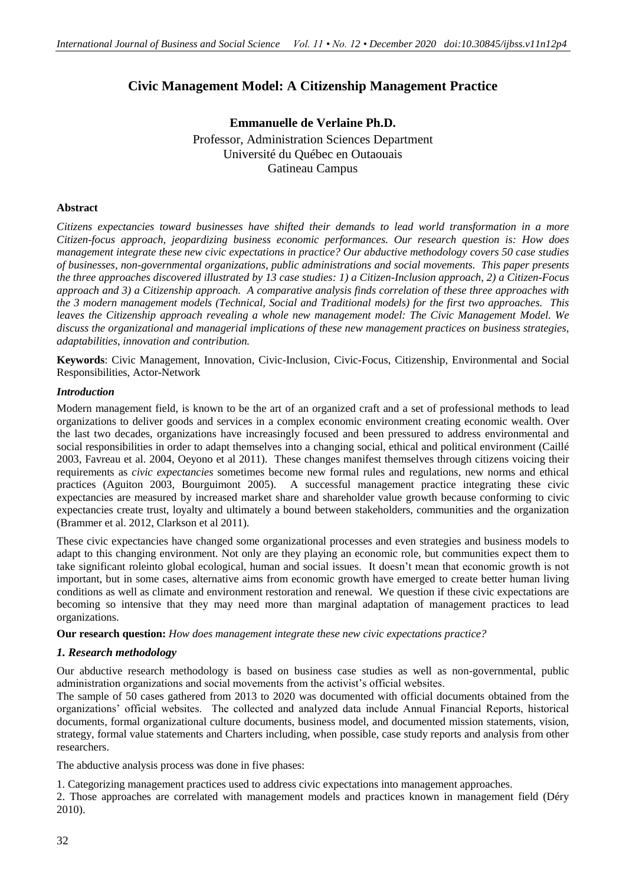# **Civic Management Model: A Citizenship Management Practice**

**Emmanuelle de Verlaine Ph.D.** Professor, Administration Sciences Department Université du Québec en Outaouais Gatineau Campus

#### **Abstract**

*Citizens expectancies toward businesses have shifted their demands to lead world transformation in a more Citizen-focus approach, jeopardizing business economic performances. Our research question is: How does management integrate these new civic expectations in practice? Our abductive methodology covers 50 case studies of businesses, non-governmental organizations, public administrations and social movements. This paper presents the three approaches discovered illustrated by 13 case studies: 1) a Citizen-Inclusion approach, 2) a Citizen-Focus approach and 3) a Citizenship approach. A comparative analysis finds correlation of these three approaches with the 3 modern management models (Technical, Social and Traditional models) for the first two approaches. This leaves the Citizenship approach revealing a whole new management model: The Civic Management Model. We discuss the organizational and managerial implications of these new management practices on business strategies, adaptabilities, innovation and contribution.*

**Keywords**: Civic Management, Innovation, Civic-Inclusion, Civic-Focus, Citizenship, Environmental and Social Responsibilities, Actor-Network

#### *Introduction*

Modern management field, is known to be the art of an organized craft and a set of professional methods to lead organizations to deliver goods and services in a complex economic environment creating economic wealth. Over the last two decades, organizations have increasingly focused and been pressured to address environmental and social responsibilities in order to adapt themselves into a changing social, ethical and political environment (Caillé 2003, Favreau et al. 2004, Oeyono et al 2011). These changes manifest themselves through citizens voicing their requirements as *civic expectancies* sometimes become new formal rules and regulations, new norms and ethical practices (Aguiton 2003, Bourguimont 2005). A successful management practice integrating these civic expectancies are measured by increased market share and shareholder value growth because conforming to civic expectancies create trust, loyalty and ultimately a bound between stakeholders, communities and the organization (Brammer et al. 2012, Clarkson et al 2011).

These civic expectancies have changed some organizational processes and even strategies and business models to adapt to this changing environment. Not only are they playing an economic role, but communities expect them to take significant roleinto global ecological, human and social issues. It doesn't mean that economic growth is not important, but in some cases, alternative aims from economic growth have emerged to create better human living conditions as well as climate and environment restoration and renewal. We question if these civic expectations are becoming so intensive that they may need more than marginal adaptation of management practices to lead organizations.

**Our research question:** *How does management integrate these new civic expectations practice?*

## *1. Research methodology*

Our abductive research methodology is based on business case studies as well as non-governmental, public administration organizations and social movements from the activist's official websites.

The sample of 50 cases gathered from 2013 to 2020 was documented with official documents obtained from the organizations' official websites. The collected and analyzed data include Annual Financial Reports, historical documents, formal organizational culture documents, business model, and documented mission statements, vision, strategy, formal value statements and Charters including, when possible, case study reports and analysis from other researchers.

The abductive analysis process was done in five phases:

1. Categorizing management practices used to address civic expectations into management approaches.

2. Those approaches are correlated with management models and practices known in management field (Déry 2010).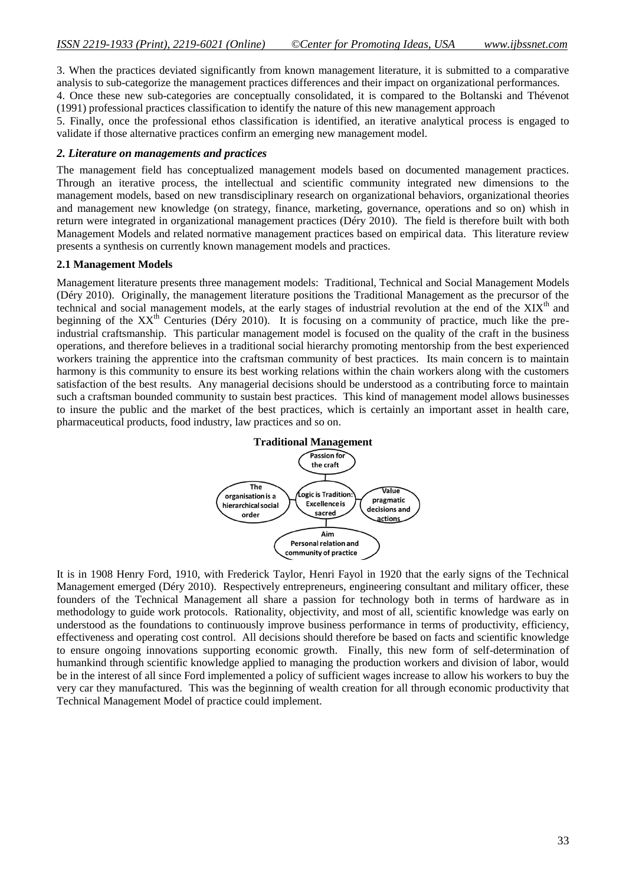3. When the practices deviated significantly from known management literature, it is submitted to a comparative analysis to sub-categorize the management practices differences and their impact on organizational performances.

4. Once these new sub-categories are conceptually consolidated, it is compared to the Boltanski and Thévenot (1991) professional practices classification to identify the nature of this new management approach

5. Finally, once the professional ethos classification is identified, an iterative analytical process is engaged to validate if those alternative practices confirm an emerging new management model.

#### *2. Literature on managements and practices*

The management field has conceptualized management models based on documented management practices. Through an iterative process, the intellectual and scientific community integrated new dimensions to the management models, based on new transdisciplinary research on organizational behaviors, organizational theories and management new knowledge (on strategy, finance, marketing, governance, operations and so on) whish in return were integrated in organizational management practices (Déry 2010). The field is therefore built with both Management Models and related normative management practices based on empirical data. This literature review presents a synthesis on currently known management models and practices.

### **2.1 Management Models**

Management literature presents three management models: Traditional, Technical and Social Management Models (Déry 2010). Originally, the management literature positions the Traditional Management as the precursor of the technical and social management models, at the early stages of industrial revolution at the end of the XIX<sup>th</sup> and beginning of the XX<sup>th</sup> Centuries (Déry 2010). It is focusing on a community of practice, much like the preindustrial craftsmanship. This particular management model is focused on the quality of the craft in the business operations, and therefore believes in a traditional social hierarchy promoting mentorship from the best experienced workers training the apprentice into the craftsman community of best practices. Its main concern is to maintain harmony is this community to ensure its best working relations within the chain workers along with the customers satisfaction of the best results. Any managerial decisions should be understood as a contributing force to maintain such a craftsman bounded community to sustain best practices. This kind of management model allows businesses to insure the public and the market of the best practices, which is certainly an important asset in health care, pharmaceutical products, food industry, law practices and so on.



It is in 1908 Henry Ford, 1910, with Frederick Taylor, Henri Fayol in 1920 that the early signs of the Technical Management emerged (Déry 2010). Respectively entrepreneurs, engineering consultant and military officer, these founders of the Technical Management all share a passion for technology both in terms of hardware as in methodology to guide work protocols. Rationality, objectivity, and most of all, scientific knowledge was early on understood as the foundations to continuously improve business performance in terms of productivity, efficiency, effectiveness and operating cost control. All decisions should therefore be based on facts and scientific knowledge to ensure ongoing innovations supporting economic growth. Finally, this new form of self-determination of humankind through scientific knowledge applied to managing the production workers and division of labor, would be in the interest of all since Ford implemented a policy of sufficient wages increase to allow his workers to buy the very car they manufactured. This was the beginning of wealth creation for all through economic productivity that Technical Management Model of practice could implement.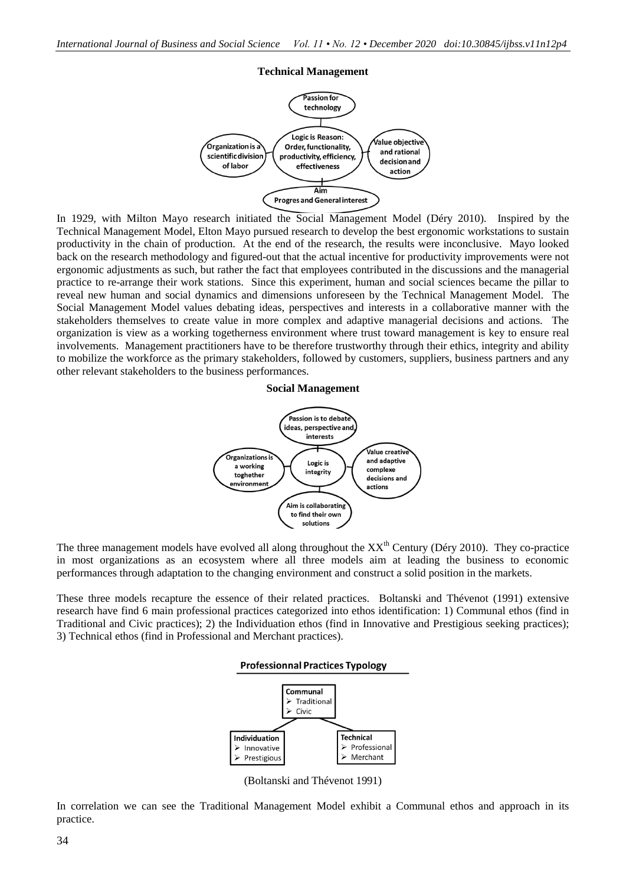# **Technical Management**



In 1929, with Milton Mayo research initiated the Social Management Model (Déry 2010). Inspired by the Technical Management Model, Elton Mayo pursued research to develop the best ergonomic workstations to sustain productivity in the chain of production. At the end of the research, the results were inconclusive. Mayo looked back on the research methodology and figured-out that the actual incentive for productivity improvements were not ergonomic adjustments as such, but rather the fact that employees contributed in the discussions and the managerial practice to re-arrange their work stations. Since this experiment, human and social sciences became the pillar to reveal new human and social dynamics and dimensions unforeseen by the Technical Management Model. The Social Management Model values debating ideas, perspectives and interests in a collaborative manner with the stakeholders themselves to create value in more complex and adaptive managerial decisions and actions. The organization is view as a working togetherness environment where trust toward management is key to ensure real involvements. Management practitioners have to be therefore trustworthy through their ethics, integrity and ability to mobilize the workforce as the primary stakeholders, followed by customers, suppliers, business partners and any other relevant stakeholders to the business performances.





The three management models have evolved all along throughout the  $XX<sup>th</sup>$  Century (Déry 2010). They co-practice in most organizations as an ecosystem where all three models aim at leading the business to economic performances through adaptation to the changing environment and construct a solid position in the markets.

These three models recapture the essence of their related practices. Boltanski and Thévenot (1991) extensive research have find 6 main professional practices categorized into ethos identification: 1) Communal ethos (find in Traditional and Civic practices); 2) the Individuation ethos (find in Innovative and Prestigious seeking practices); 3) Technical ethos (find in Professional and Merchant practices).

#### **Professionnal Practices Typology**



(Boltanski and Thévenot 1991)

In correlation we can see the Traditional Management Model exhibit a Communal ethos and approach in its practice.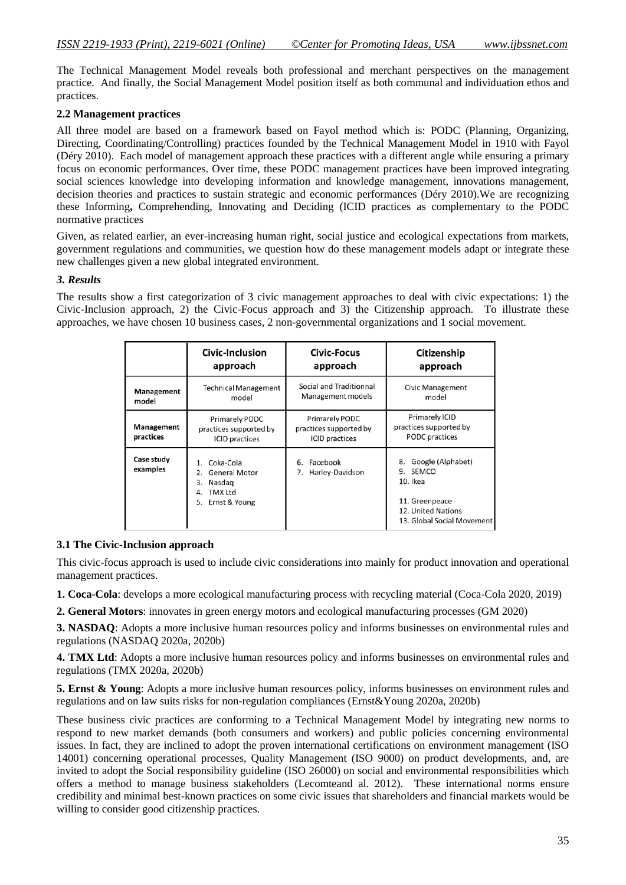The Technical Management Model reveals both professional and merchant perspectives on the management practice. And finally, the Social Management Model position itself as both communal and individuation ethos and practices.

## **2.2 Management practices**

All three model are based on a framework based on Fayol method which is: PODC (Planning, Organizing, Directing, Coordinating/Controlling) practices founded by the Technical Management Model in 1910 with Fayol (Déry 2010). Each model of management approach these practices with a different angle while ensuring a primary focus on economic performances. Over time, these PODC management practices have been improved integrating social sciences knowledge into developing information and knowledge management, innovations management, decision theories and practices to sustain strategic and economic performances (Déry 2010).We are recognizing these Informing**,** Comprehending, Innovating and Deciding (ICID practices as complementary to the PODC normative practices

Given, as related earlier, an ever-increasing human right, social justice and ecological expectations from markets, government regulations and communities, we question how do these management models adapt or integrate these new challenges given a new global integrated environment.

## *3. Results*

The results show a first categorization of 3 civic management approaches to deal with civic expectations: 1) the Civic-Inclusion approach, 2) the Civic-Focus approach and 3) the Citizenship approach. To illustrate these approaches, we have chosen 10 business cases, 2 non-governmental organizations and 1 social movement.

|                         | Civic-Inclusion                                                                                        | Civic-Focus                                                       | Citizenship                                                                                                           |
|-------------------------|--------------------------------------------------------------------------------------------------------|-------------------------------------------------------------------|-----------------------------------------------------------------------------------------------------------------------|
|                         | approach                                                                                               | approach                                                          | approach                                                                                                              |
| Management              | <b>Technical Management</b>                                                                            | Social and Traditionnal                                           | <b>Civic Management</b>                                                                                               |
| model                   | model                                                                                                  | Management models                                                 | model                                                                                                                 |
| Management<br>practices | Primarely PODC<br>practices supported by<br><b>ICID</b> practices                                      | Primarely PODC<br>practices supported by<br><b>ICID</b> practices | Primarely ICID<br>practices supported by<br><b>PODC</b> practices                                                     |
| Case study<br>examples  | Coka-Cola<br><b>General Motor</b><br>2.<br>Nasdag<br>3.<br><b>TMX Ltd</b><br>4.<br>Ernst & Young<br>5. | Facebook<br>6.<br>Harley-Davidson                                 | Google (Alphabet)<br>8.<br>9. SEMCO<br>10. Ikea<br>11. Greenpeace<br>12. United Nations<br>13. Global Social Movement |

# **3.1 The Civic-Inclusion approach**

This civic-focus approach is used to include civic considerations into mainly for product innovation and operational management practices.

**1. Coca-Cola**: develops a more ecological manufacturing process with recycling material (Coca-Cola 2020, 2019)

**2. General Motors**: innovates in green energy motors and ecological manufacturing processes (GM 2020)

**3. NASDAQ**: Adopts a more inclusive human resources policy and informs businesses on environmental rules and regulations (NASDAQ 2020a, 2020b)

**4. TMX Ltd**: Adopts a more inclusive human resources policy and informs businesses on environmental rules and regulations (TMX 2020a, 2020b)

**5. Ernst & Young**: Adopts a more inclusive human resources policy, informs businesses on environment rules and regulations and on law suits risks for non-regulation compliances (Ernst&Young 2020a, 2020b)

These business civic practices are conforming to a Technical Management Model by integrating new norms to respond to new market demands (both consumers and workers) and public policies concerning environmental issues. In fact, they are inclined to adopt the proven international certifications on environment management (ISO 14001) concerning operational processes, Quality Management (ISO 9000) on product developments, and, are invited to adopt the Social responsibility guideline (ISO 26000) on social and environmental responsibilities which offers a method to manage business stakeholders (Lecomteand al. 2012). These international norms ensure credibility and minimal best-known practices on some civic issues that shareholders and financial markets would be willing to consider good citizenship practices.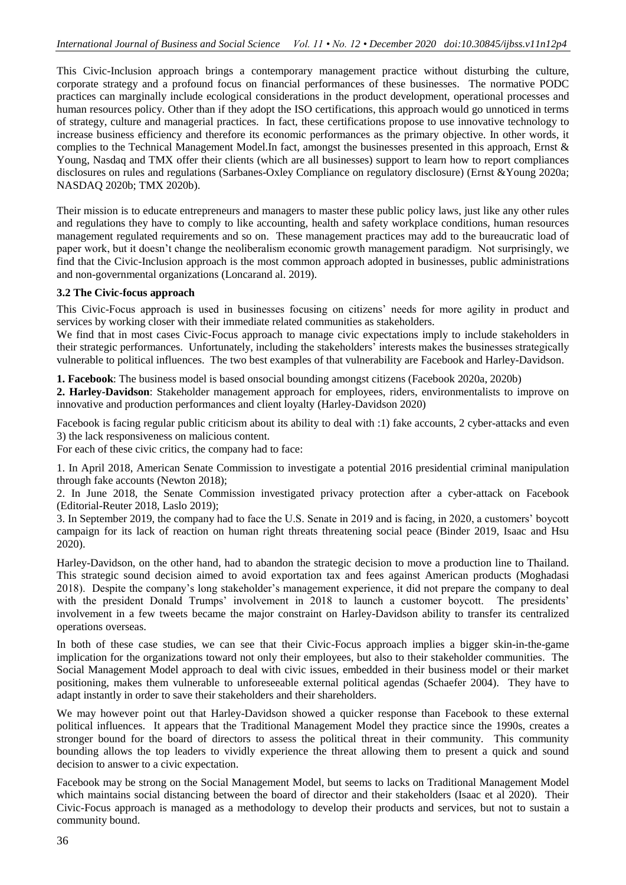This Civic-Inclusion approach brings a contemporary management practice without disturbing the culture, corporate strategy and a profound focus on financial performances of these businesses. The normative PODC practices can marginally include ecological considerations in the product development, operational processes and human resources policy. Other than if they adopt the ISO certifications, this approach would go unnoticed in terms of strategy, culture and managerial practices. In fact, these certifications propose to use innovative technology to increase business efficiency and therefore its economic performances as the primary objective. In other words, it complies to the Technical Management Model.In fact, amongst the businesses presented in this approach, Ernst & Young, Nasdaq and TMX offer their clients (which are all businesses) support to learn how to report compliances disclosures on rules and regulations (Sarbanes-Oxley Compliance on regulatory disclosure) (Ernst &Young 2020a; NASDAQ 2020b; TMX 2020b).

Their mission is to educate entrepreneurs and managers to master these public policy laws, just like any other rules and regulations they have to comply to like accounting, health and safety workplace conditions, human resources management regulated requirements and so on. These management practices may add to the bureaucratic load of paper work, but it doesn't change the neoliberalism economic growth management paradigm. Not surprisingly, we find that the Civic-Inclusion approach is the most common approach adopted in businesses, public administrations and non-governmental organizations (Loncarand al. 2019).

## **3.2 The Civic-focus approach**

This Civic-Focus approach is used in businesses focusing on citizens' needs for more agility in product and services by working closer with their immediate related communities as stakeholders.

We find that in most cases Civic-Focus approach to manage civic expectations imply to include stakeholders in their strategic performances. Unfortunately, including the stakeholders' interests makes the businesses strategically vulnerable to political influences. The two best examples of that vulnerability are Facebook and Harley-Davidson.

**1. Facebook**: The business model is based onsocial bounding amongst citizens (Facebook 2020a, 2020b)

**2. Harley-Davidson**: Stakeholder management approach for employees, riders, environmentalists to improve on innovative and production performances and client loyalty (Harley-Davidson 2020)

Facebook is facing regular public criticism about its ability to deal with :1) fake accounts, 2 cyber-attacks and even 3) the lack responsiveness on malicious content.

For each of these civic critics, the company had to face:

1. In April 2018, American Senate Commission to investigate a potential 2016 presidential criminal manipulation through fake accounts (Newton 2018);

2. In June 2018, the Senate Commission investigated privacy protection after a cyber-attack on Facebook (Editorial-Reuter 2018, Laslo 2019);

3. In September 2019, the company had to face the U.S. Senate in 2019 and is facing, in 2020, a customers' boycott campaign for its lack of reaction on human right threats threatening social peace (Binder 2019, Isaac and Hsu 2020).

Harley-Davidson, on the other hand, had to abandon the strategic decision to move a production line to Thailand. This strategic sound decision aimed to avoid exportation tax and fees against American products (Moghadasi 2018). Despite the company's long stakeholder's management experience, it did not prepare the company to deal with the president Donald Trumps' involvement in 2018 to launch a customer boycott. The presidents' involvement in a few tweets became the major constraint on Harley-Davidson ability to transfer its centralized operations overseas.

In both of these case studies, we can see that their Civic-Focus approach implies a bigger skin-in-the-game implication for the organizations toward not only their employees, but also to their stakeholder communities. The Social Management Model approach to deal with civic issues, embedded in their business model or their market positioning, makes them vulnerable to unforeseeable external political agendas (Schaefer 2004). They have to adapt instantly in order to save their stakeholders and their shareholders.

We may however point out that Harley-Davidson showed a quicker response than Facebook to these external political influences. It appears that the Traditional Management Model they practice since the 1990s, creates a stronger bound for the board of directors to assess the political threat in their community. This community bounding allows the top leaders to vividly experience the threat allowing them to present a quick and sound decision to answer to a civic expectation.

Facebook may be strong on the Social Management Model, but seems to lacks on Traditional Management Model which maintains social distancing between the board of director and their stakeholders (Isaac et al 2020). Their Civic-Focus approach is managed as a methodology to develop their products and services, but not to sustain a community bound.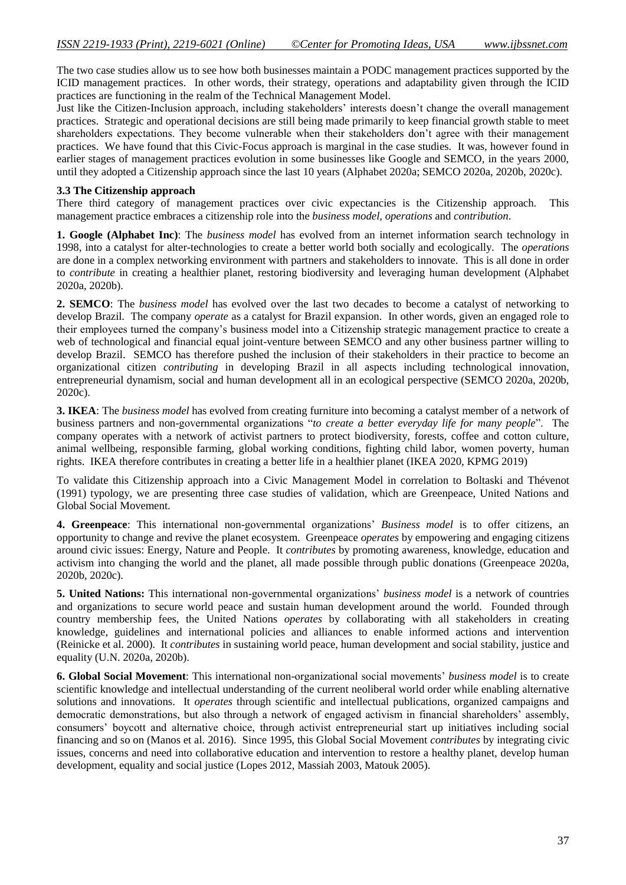The two case studies allow us to see how both businesses maintain a PODC management practices supported by the ICID management practices. In other words, their strategy, operations and adaptability given through the ICID practices are functioning in the realm of the Technical Management Model.

Just like the Citizen-Inclusion approach, including stakeholders' interests doesn't change the overall management practices. Strategic and operational decisions are still being made primarily to keep financial growth stable to meet shareholders expectations. They become vulnerable when their stakeholders don't agree with their management practices. We have found that this Civic-Focus approach is marginal in the case studies. It was, however found in earlier stages of management practices evolution in some businesses like Google and SEMCO, in the years 2000, until they adopted a Citizenship approach since the last 10 years (Alphabet 2020a; SEMCO 2020a, 2020b, 2020c).

# **3.3 The Citizenship approach**

There third category of management practices over civic expectancies is the Citizenship approach. This management practice embraces a citizenship role into the *business model, operations* and *contribution*.

**1. Google (Alphabet Inc)**: The *business model* has evolved from an internet information search technology in 1998, into a catalyst for alter-technologies to create a better world both socially and ecologically. The *operations* are done in a complex networking environment with partners and stakeholders to innovate. This is all done in order to *contribute* in creating a healthier planet, restoring biodiversity and leveraging human development (Alphabet 2020a, 2020b).

**2. SEMCO**: The *business model* has evolved over the last two decades to become a catalyst of networking to develop Brazil. The company *operate* as a catalyst for Brazil expansion. In other words, given an engaged role to their employees turned the company's business model into a Citizenship strategic management practice to create a web of technological and financial equal joint-venture between SEMCO and any other business partner willing to develop Brazil. SEMCO has therefore pushed the inclusion of their stakeholders in their practice to become an organizational citizen *contributing* in developing Brazil in all aspects including technological innovation, entrepreneurial dynamism, social and human development all in an ecological perspective (SEMCO 2020a, 2020b, 2020c).

**3. IKEA**: The *business model* has evolved from creating furniture into becoming a catalyst member of a network of business partners and non-governmental organizations "*to create a better everyday life for many people*". The company operates with a network of activist partners to protect biodiversity, forests, coffee and cotton culture, animal wellbeing, responsible farming, global working conditions, fighting child labor, women poverty, human rights. IKEA therefore contributes in creating a better life in a healthier planet (IKEA 2020, KPMG 2019)

To validate this Citizenship approach into a Civic Management Model in correlation to Boltaski and Thévenot (1991) typology, we are presenting three case studies of validation, which are Greenpeace, United Nations and Global Social Movement.

**4. Greenpeace**: This international non-governmental organizations' *Business model* is to offer citizens, an opportunity to change and revive the planet ecosystem. Greenpeace *operates* by empowering and engaging citizens around civic issues: Energy, Nature and People. It *contributes* by promoting awareness, knowledge, education and activism into changing the world and the planet, all made possible through public donations (Greenpeace 2020a, 2020b, 2020c).

**5. United Nations:** This international non-governmental organizations' *business model* is a network of countries and organizations to secure world peace and sustain human development around the world. Founded through country membership fees, the United Nations *operates* by collaborating with all stakeholders in creating knowledge, guidelines and international policies and alliances to enable informed actions and intervention (Reinicke et al. 2000). It *contributes* in sustaining world peace, human development and social stability, justice and equality (U.N. 2020a, 2020b).

**6. Global Social Movement**: This international non-organizational social movements' *business model* is to create scientific knowledge and intellectual understanding of the current neoliberal world order while enabling alternative solutions and innovations. It *operates* through scientific and intellectual publications, organized campaigns and democratic demonstrations, but also through a network of engaged activism in financial shareholders' assembly, consumers' boycott and alternative choice, through activist entrepreneurial start up initiatives including social financing and so on (Manos et al. 2016). Since 1995, this Global Social Movement *contributes* by integrating civic issues, concerns and need into collaborative education and intervention to restore a healthy planet, develop human development, equality and social justice (Lopes 2012, Massiah 2003, Matouk 2005).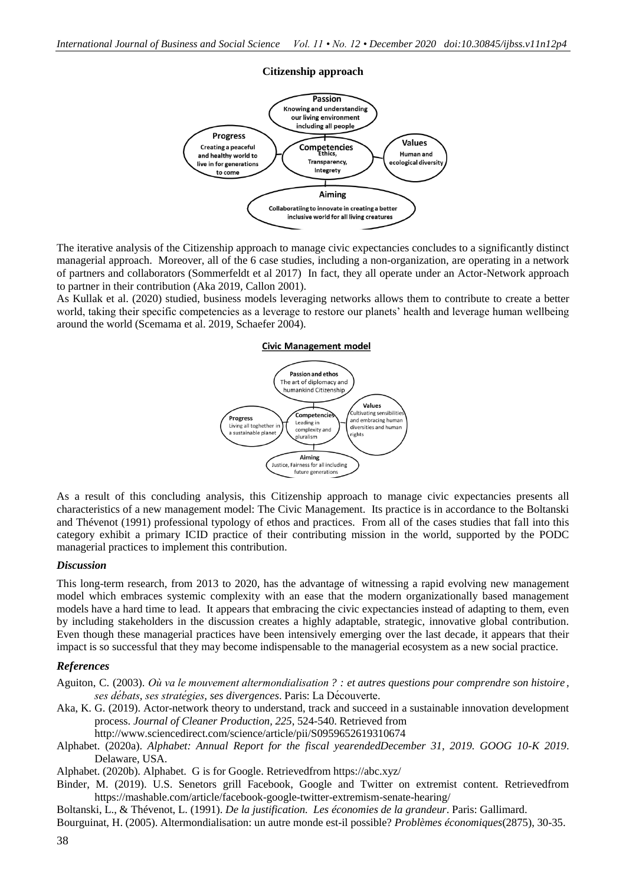

The iterative analysis of the Citizenship approach to manage civic expectancies concludes to a significantly distinct managerial approach. Moreover, all of the 6 case studies, including a non-organization, are operating in a network of partners and collaborators (Sommerfeldt et al 2017) In fact, they all operate under an Actor-Network approach to partner in their contribution (Aka 2019, Callon 2001).

As Kullak et al. (2020) studied, business models leveraging networks allows them to contribute to create a better world, taking their specific competencies as a leverage to restore our planets' health and leverage human wellbeing around the world (Scemama et al. 2019, Schaefer 2004).

#### **Civic Management model**



As a result of this concluding analysis, this Citizenship approach to manage civic expectancies presents all characteristics of a new management model: The Civic Management. Its practice is in accordance to the Boltanski and Thévenot (1991) professional typology of ethos and practices. From all of the cases studies that fall into this category exhibit a primary ICID practice of their contributing mission in the world, supported by the PODC managerial practices to implement this contribution.

#### *Discussion*

This long-term research, from 2013 to 2020, has the advantage of witnessing a rapid evolving new management model which embraces systemic complexity with an ease that the modern organizationally based management models have a hard time to lead. It appears that embracing the civic expectancies instead of adapting to them, even by including stakeholders in the discussion creates a highly adaptable, strategic, innovative global contribution. Even though these managerial practices have been intensively emerging over the last decade, it appears that their impact is so successful that they may become indispensable to the managerial ecosystem as a new social practice.

#### *References*

- Aguiton, C. (2003). *Où va le mouvement altermondialisation ? : et autres questions pour comprendre son histoire , ses débats, ses stratégies, ses divergences*. Paris: La Découverte.
- Aka, K. G. (2019). Actor-network theory to understand, track and succeed in a sustainable innovation development process. *Journal of Cleaner Production, 225*, 524-540. Retrieved from

http://www.sciencedirect.com/science/article/pii/S0959652619310674

- Alphabet. (2020a). *Alphabet: Annual Report for the fiscal yearendedDecember 31, 2019. GOOG 10-K 2019*. Delaware, USA.
- Alphabet. (2020b). Alphabet. G is for Google. Retrievedfrom https://abc.xyz/
- Binder, M. (2019). U.S. Senetors grill Facebook, Google and Twitter on extremist content. Retrievedfrom https://mashable.com/article/facebook-google-twitter-extremism-senate-hearing/
- Boltanski, L., & Thévenot, L. (1991). *De la justification. Les économies de la grandeur*. Paris: Gallimard.

Bourguinat, H. (2005). Altermondialisation: un autre monde est-il possible? *Problèmes économiques*(2875), 30-35.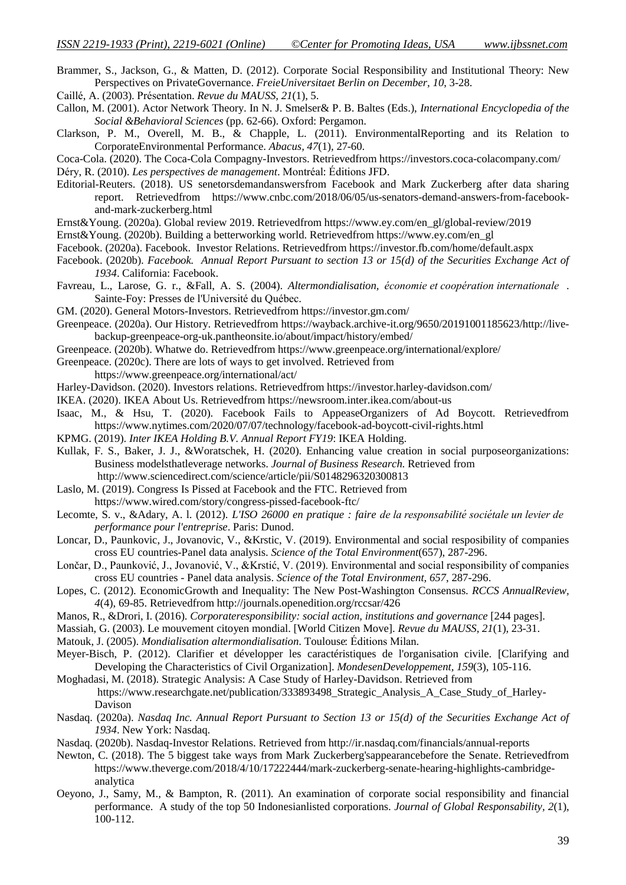- Brammer, S., Jackson, G., & Matten, D. (2012). Corporate Social Responsibility and Institutional Theory: New Perspectives on PrivateGovernance. *FreieUniversitaet Berlin on December, 10*, 3-28.
- Caillé, A. (2003). Présentation. *Revue du MAUSS, 21*(1), 5.
- Callon, M. (2001). Actor Network Theory. In N. J. Smelser& P. B. Baltes (Eds.), *International Encyclopedia of the Social &Behavioral Sciences* (pp. 62-66). Oxford: Pergamon.
- Clarkson, P. M., Overell, M. B., & Chapple, L. (2011). EnvironmentalReporting and its Relation to CorporateEnvironmental Performance. *Abacus, 47*(1), 27-60.
- Coca-Cola. (2020). The Coca-Cola Compagny-Investors. Retrievedfrom https://investors.coca-colacompany.com/
- Déry, R. (2010). *Les perspectives de management*. Montréal: Éditions JFD.
- Editorial-Reuters. (2018). US senetorsdemandanswersfrom Facebook and Mark Zuckerberg after data sharing report. Retrievedfrom https://www.cnbc.com/2018/06/05/us-senators-demand-answers-from-facebookand-mark-zuckerberg.html
- Ernst&Young. (2020a). Global review 2019. Retrievedfrom https://www.ey.com/en\_gl/global-review/2019
- Ernst&Young. (2020b). Building a betterworking world. Retrievedfrom https://www.ey.com/en\_gl
- Facebook. (2020a). Facebook. Investor Relations. Retrievedfrom https://investor.fb.com/home/default.aspx
- Facebook. (2020b). *Facebook. Annual Report Pursuant to section 13 or 15(d) of the Securities Exchange Act of 1934*. California: Facebook.
- Favreau, L., Larose, G. r., &Fall, A. S. (2004). *Altermondialisation, économie et coopération internationale* . Sainte-Foy: Presses de l'Université du Québec.
- GM. (2020). General Motors-Investors. Retrievedfrom https://investor.gm.com/
- Greenpeace. (2020a). Our History. Retrievedfrom https://wayback.archive-it.org/9650/20191001185623/http://livebackup-greenpeace-org-uk.pantheonsite.io/about/impact/history/embed/
- Greenpeace. (2020b). Whatwe do. Retrievedfrom https://www.greenpeace.org/international/explore/
- Greenpeace. (2020c). There are lots of ways to get involved. Retrieved from
- https://www.greenpeace.org/international/act/
- Harley-Davidson. (2020). Investors relations. Retrievedfrom https://investor.harley-davidson.com/
- IKEA. (2020). IKEA About Us. Retrievedfrom https://newsroom.inter.ikea.com/about-us
- Isaac, M., & Hsu, T. (2020). Facebook Fails to AppeaseOrganizers of Ad Boycott. Retrievedfrom https://www.nytimes.com/2020/07/07/technology/facebook-ad-boycott-civil-rights.html
- KPMG. (2019). *Inter IKEA Holding B.V. Annual Report FY19*: IKEA Holding.
- Kullak, F. S., Baker, J. J., &Woratschek, H. (2020). Enhancing value creation in social purposeorganizations: Business modelsthatleverage networks. *Journal of Business Research*. Retrieved from http://www.sciencedirect.com/science/article/pii/S0148296320300813
- Laslo, M. (2019). Congress Is Pissed at Facebook and the FTC. Retrieved from
	- https://www.wired.com/story/congress-pissed-facebook-ftc/
- Lecomte, S. v., &Adary, A. l. (2012). *L'ISO 26000 en pratique : faire de la responsabilité socié tale un levier de performance pour l'entreprise*. Paris: Dunod.
- Loncar, D., Paunkovic, J., Jovanovic, V., &Krstic, V. (2019). Environmental and social resposibility of companies cross EU countries-Panel data analysis. *Science of the Total Environment*(657), 287-296.
- Lončar, D., Paunković, J., Jovanović, V., &Krstić, V. (2019). Environmental and social responsibility of companies cross EU countries - Panel data analysis. *Science of the Total Environment, 657*, 287-296.
- Lopes, C. (2012). EconomicGrowth and Inequality: The New Post-Washington Consensus. *RCCS AnnualReview, 4*(4), 69-85. Retrievedfrom http://journals.openedition.org/rccsar/426
- Manos, R., &Drori, I. (2016). *Corporateresponsibility: social action, institutions and governance* [244 pages].
- Massiah, G. (2003). Le mouvement citoyen mondial. [World Citizen Move]. *Revue du MAUSS, 21*(1), 23-31.
- Matouk, J. (2005). *Mondialisation altermondialisation*. Toulouse: Éditions Milan.
- Meyer-Bisch, P. (2012). Clarifier et développer les caractéristiques de l'organisation civile. [Clarifying and Developing the Characteristics of Civil Organization]. *MondesenDeveloppement, 159*(3), 105-116.
- Moghadasi, M. (2018). Strategic Analysis: A Case Study of Harley-Davidson. Retrieved from https://www.researchgate.net/publication/333893498\_Strategic\_Analysis\_A\_Case\_Study\_of\_Harley-Davison
- Nasdaq. (2020a). *Nasdaq Inc. Annual Report Pursuant to Section 13 or 15(d) of the Securities Exchange Act of 1934*. New York: Nasdaq.
- Nasdaq. (2020b). Nasdaq-Investor Relations. Retrieved from http://ir.nasdaq.com/financials/annual-reports
- Newton, C. (2018). The 5 biggest take ways from Mark Zuckerberg'sappearancebefore the Senate. Retrievedfrom https://www.theverge.com/2018/4/10/17222444/mark-zuckerberg-senate-hearing-highlights-cambridgeanalytica
- Oeyono, J., Samy, M., & Bampton, R. (2011). An examination of corporate social responsibility and financial performance. A study of the top 50 Indonesianlisted corporations. *Journal of Global Responsability, 2*(1), 100-112.